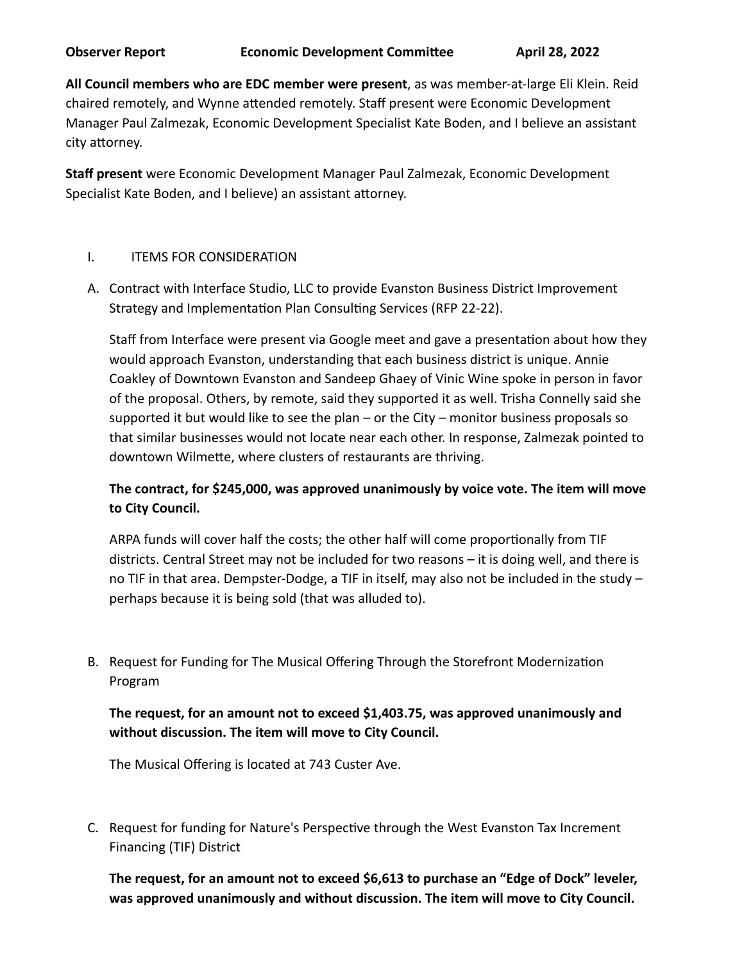**All Council members who are EDC member were present**, as was member-at-large Eli Klein. Reid chaired remotely, and Wynne attended remotely. Staff present were Economic Development Manager Paul Zalmezak, Economic Development Specialist Kate Boden, and I believe an assistant city attorney.

**Staff present** were Economic Development Manager Paul Zalmezak, Economic Development Specialist Kate Boden, and I believe) an assistant attorney.

## I. **ITEMS FOR CONSIDERATION**

A. Contract with Interface Studio, LLC to provide Evanston Business District Improvement Strategy and Implementation Plan Consulting Services (RFP 22-22).

Staff from Interface were present via Google meet and gave a presentation about how they would approach Evanston, understanding that each business district is unique. Annie Coakley of Downtown Evanston and Sandeep Ghaey of Vinic Wine spoke in person in favor of the proposal. Others, by remote, said they supported it as well. Trisha Connelly said she supported it but would like to see the plan – or the City – monitor business proposals so that similar businesses would not locate near each other. In response, Zalmezak pointed to downtown Wilmette, where clusters of restaurants are thriving.

## The contract, for \$245,000, was approved unanimously by voice vote. The item will move **to City Council.**

ARPA funds will cover half the costs; the other half will come proportionally from TIF districts. Central Street may not be included for two reasons - it is doing well, and there is no TIF in that area. Dempster-Dodge, a TIF in itself, may also not be included in the study  $$ perhaps because it is being sold (that was alluded to).

B. Request for Funding for The Musical Offering Through the Storefront Modernization Program

## The request, for an amount not to exceed \$1,403.75, was approved unanimously and without discussion. The item will move to City Council.

The Musical Offering is located at 743 Custer Ave.

C. Request for funding for Nature's Perspective through the West Evanston Tax Increment Financing (TIF) District

The request, for an amount not to exceed \$6,613 to purchase an "Edge of Dock" leveler, was approved unanimously and without discussion. The item will move to City Council.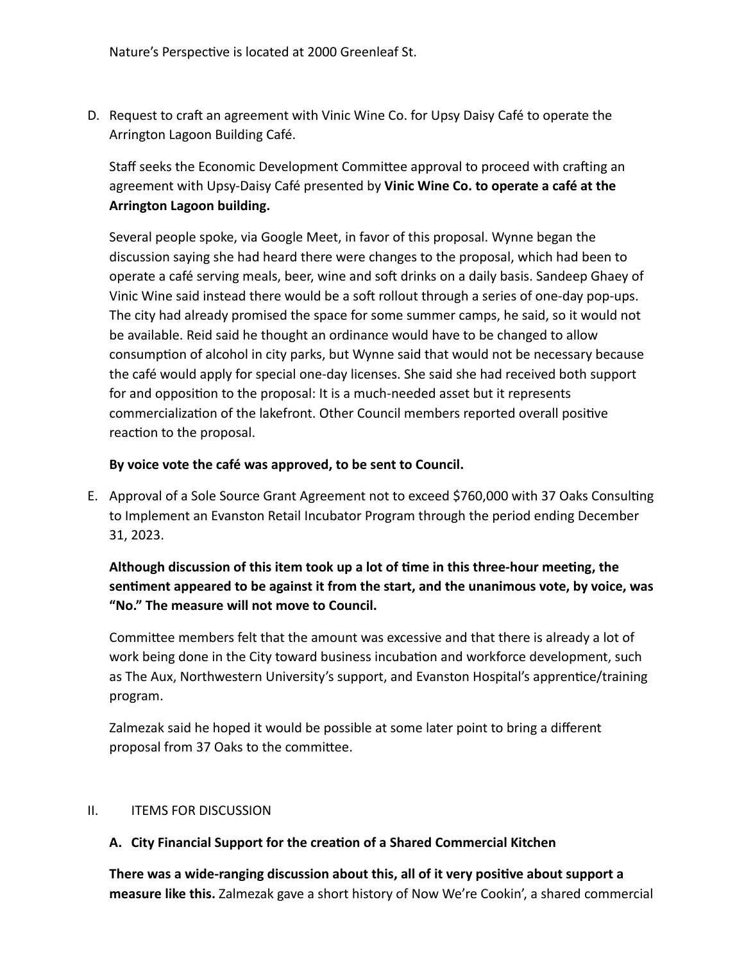Nature's Perspective is located at 2000 Greenleaf St.

D. Request to craft an agreement with Vinic Wine Co. for Upsy Daisy Café to operate the Arrington Lagoon Building Café.

Staff seeks the Economic Development Committee approval to proceed with crafting an agreement with Upsy-Daisy Café presented by Vinic Wine Co. to operate a café at the **Arrington Lagoon building.** 

Several people spoke, via Google Meet, in favor of this proposal. Wynne began the discussion saying she had heard there were changes to the proposal, which had been to operate a café serving meals, beer, wine and soft drinks on a daily basis. Sandeep Ghaey of Vinic Wine said instead there would be a soft rollout through a series of one-day pop-ups. The city had already promised the space for some summer camps, he said, so it would not be available. Reid said he thought an ordinance would have to be changed to allow consumption of alcohol in city parks, but Wynne said that would not be necessary because the café would apply for special one-day licenses. She said she had received both support for and opposition to the proposal: It is a much-needed asset but it represents commercialization of the lakefront. Other Council members reported overall positive reaction to the proposal.

## By voice vote the café was approved, to be sent to Council.

E. Approval of a Sole Source Grant Agreement not to exceed \$760,000 with 37 Oaks Consulting to Implement an Evanston Retail Incubator Program through the period ending December 31, 2023.

Although discussion of this item took up a lot of time in this three-hour meeting, the sentiment appeared to be against it from the start, and the unanimous vote, by voice, was "No." The measure will not move to Council.

Committee members felt that the amount was excessive and that there is already a lot of work being done in the City toward business incubation and workforce development, such as The Aux, Northwestern University's support, and Evanston Hospital's apprentice/training program.

Zalmezak said he hoped it would be possible at some later point to bring a different proposal from 37 Oaks to the committee.

#### II. **ITEMS FOR DISCUSSION**

## A. City Financial Support for the creation of a Shared Commercial Kitchen

There was a wide-ranging discussion about this, all of it very positive about support a measure like this. Zalmezak gave a short history of Now We're Cookin', a shared commercial